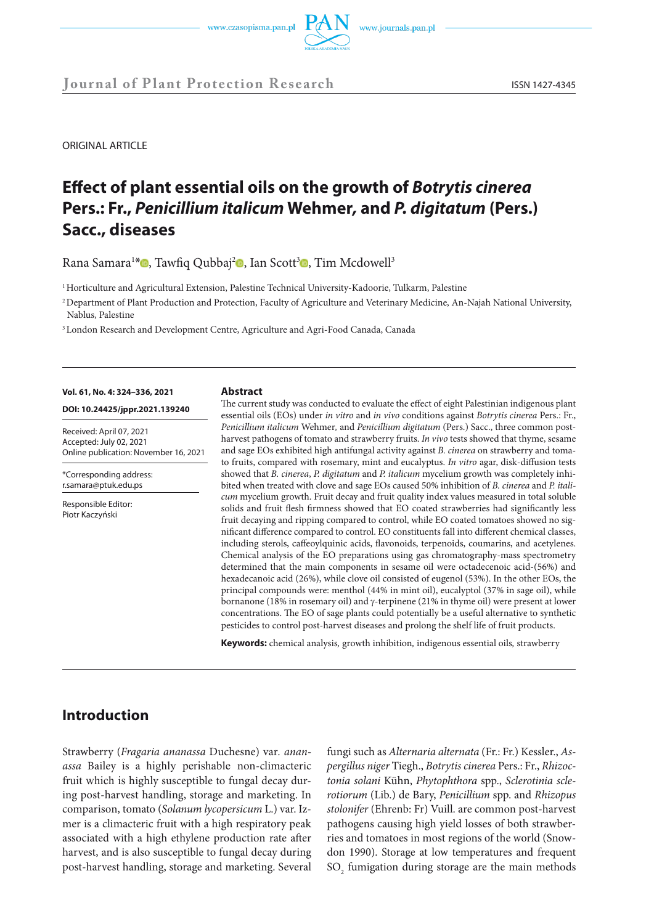



**Journal of Plant Protection Research** ISSN 1427-4345

ORIGINAL ARTICLE

# **Effect of plant essential oils on the growth of** *Botrytis cinerea* **Pers.: Fr.,** *Penicillium italicum* **Wehmer***,* **and** *P. digitatum* **(Pers.) Sacc., diseases**

Rana Samara<sup>1\*</sup> •, Tawfiq Qubbaj<sup>2</sup> •, Ian Scott<sup>[3](https://orcid.org/0000-0002-1972-6616)</sup> •, Tim Mcdowell<sup>3</sup>

1 Horticulture and Agricultural Extension, Palestine Technical University-Kadoorie, Tulkarm, Palestine

2 Department of Plant Production and Protection, Faculty of Agriculture and Veterinary Medicine, An-Najah National University, Nablus, Palestine

<sup>3</sup> London Research and Development Centre, Agriculture and Agri-Food Canada, Canada

#### **Vol. 61, No. 4: 324–336, 2021**

**DOI: 10.24425/jppr.2021.139240**

Received: April 07, 2021 Accepted: July 02, 2021 Online publication: November 16, 2021

\*Corresponding address: r.samara@ptuk.edu.ps

Responsible Editor: Piotr Kaczyński

#### **Abstract**

The current study was conducted to evaluate the effect of eight Palestinian indigenous plant essential oils (EOs) under *in vitro* and *in vivo* conditions against *Botrytis cinerea* Pers.: Fr., *Penicillium italicum* Wehmer*,* and *Penicillium digitatum* (Pers.) Sacc., three common postharvest pathogens of tomato and strawberry fruits. *In vivo* tests showed that thyme, sesame and sage EOs exhibited high antifungal activity against *B. cinerea* on strawberry and tomato fruits, compared with rosemary, mint and eucalyptus. *In vitro* agar, disk-diffusion tests showed that *B. cinerea*, *P. digitatum* and *P. italicum* mycelium growth was completely inhibited when treated with clove and sage EOs caused 50% inhibition of *B. cinerea* and *P. italicum* mycelium growth. Fruit decay and fruit quality index values measured in total soluble solids and fruit flesh firmness showed that EO coated strawberries had significantly less fruit decaying and ripping compared to control, while EO coated tomatoes showed no significant difference compared to control. EO constituents fall into different chemical classes, including sterols, caffeoylquinic acids, flavonoids, terpenoids, coumarins, and acetylenes. Chemical analysis of the EO preparations using gas chromatography-mass spectrometry determined that the main components in sesame oil were octadecenoic acid-(56%) and hexadecanoic acid (26%), while clove oil consisted of eugenol (53%). In the other EOs, the principal compounds were: menthol (44% in mint oil), eucalyptol (37% in sage oil), while bornanone (18% in rosemary oil) and γ-terpinene (21% in thyme oil) were present at lower concentrations. The EO of sage plants could potentially be a useful alternative to synthetic pesticides to control post-harvest diseases and prolong the shelf life of fruit products.

**Keywords:** chemical analysis*,* growth inhibition*,* indigenous essential oils*,* strawberry

## **Introduction**

Strawberry (*Fragaria ananassa* Duchesne) var*. ananassa* Bailey is a highly perishable non-climacteric fruit which is highly susceptible to fungal decay during post-harvest handling, storage and marketing. In comparison, tomato (*Solanum lycopersicum* L.) var. Izmer is a climacteric fruit with a high respiratory peak associated with a high ethylene production rate after harvest, and is also susceptible to fungal decay during post-harvest handling, storage and marketing. Several

fungi such as *Alternaria alternata* (Fr.: Fr.) Kessler., *Aspergillus niger* Tiegh., *Botrytis cinerea* Pers.: Fr., *Rhizoctonia solani* Kühn, *Phytophthora* spp., *Sclerotinia sclerotiorum* (Lib.) de Bary, *Penicillium* spp. and *Rhizopus stolonifer* (Ehrenb: Fr) Vuill. are common post-harvest pathogens causing high yield losses of both strawberries and tomatoes in most regions of the world (Snowdon 1990). Storage at low temperatures and frequent  $SO<sub>2</sub>$  fumigation during storage are the main methods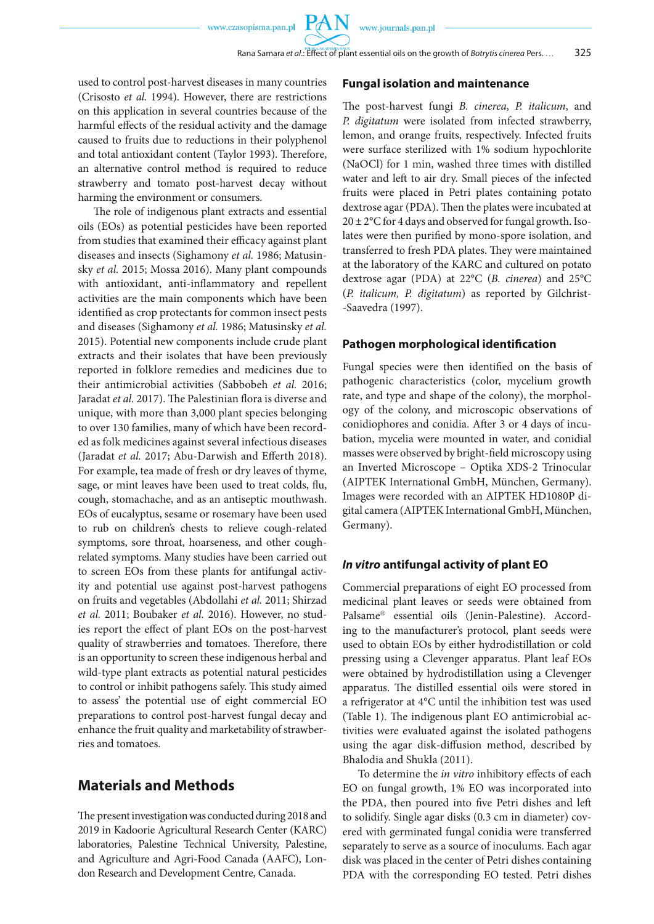**PAN** 

used to control post-harvest diseases in many countries (Crisosto *et al.* 1994). However, there are restrictions on this application in several countries because of the harmful effects of the residual activity and the damage caused to fruits due to reductions in their polyphenol and total antioxidant content (Taylor 1993). Therefore, an alternative control method is required to reduce strawberry and tomato post-harvest decay without harming the environment or consumers.

The role of indigenous plant extracts and essential oils (EOs) as potential pesticides have been reported from studies that examined their efficacy against plant diseases and insects (Sighamony *et al.* 1986; Matusinsky *et al.* 2015; Mossa 2016). Many plant compounds with antioxidant, anti-inflammatory and repellent activities are the main components which have been identified as crop protectants for common insect pests and diseases (Sighamony *et al.* 1986; Matusinsky *et al.* 2015). Potential new components include crude plant extracts and their isolates that have been previously reported in folklore remedies and medicines due to their antimicrobial activities (Sabbobeh *et al.* 2016; Jaradat *et al.* 2017). The Palestinian flora is diverse and unique, with more than 3,000 plant species belonging to over 130 families, many of which have been recorded as folk medicines against several infectious diseases (Jaradat *et al.* 2017; Abu-Darwish and Efferth 2018). For example, tea made of fresh or dry leaves of thyme, sage, or mint leaves have been used to treat colds, flu, cough, stomachache, and as an antiseptic mouthwash. EOs of eucalyptus, sesame or rosemary have been used to rub on children's chests to relieve cough-related symptoms, sore throat, hoarseness, and other coughrelated symptoms. Many studies have been carried out to screen EOs from these plants for antifungal activity and potential use against post-harvest pathogens on fruits and vegetables (Abdollahi *et al.* 2011; Shirzad *et al.* 2011; Boubaker *et al.* 2016). However, no studies report the effect of plant EOs on the post-harvest quality of strawberries and tomatoes. Therefore, there is an opportunity to screen these indigenous herbal and wild-type plant extracts as potential natural pesticides to control or inhibit pathogens safely. This study aimed to assess' the potential use of eight commercial EO preparations to control post-harvest fungal decay and enhance the fruit quality and marketability of strawberries and tomatoes.

### **Materials and Methods**

The present investigation was conducted during 2018 and 2019 in Kadoorie Agricultural Research Center (KARC) laboratories, Palestine Technical University, Palestine, and Agriculture and Agri-Food Canada (AAFC), London Research and Development Centre, Canada.

#### **Fungal isolation and maintenance**

The post-harvest fungi *B. cinerea*, *P. italicum*, and *P. digitatum* were isolated from infected strawberry, lemon, and orange fruits, respectively. Infected fruits were surface sterilized with 1% sodium hypochlorite (NaOCl) for 1 min, washed three times with distilled water and left to air dry. Small pieces of the infected fruits were placed in Petri plates containing potato dextrose agar (PDA). Then the plates were incubated at  $20 \pm 2^{\circ}$ C for 4 days and observed for fungal growth. Isolates were then purified by mono-spore isolation, and transferred to fresh PDA plates. They were maintained at the laboratory of the KARC and cultured on potato dextrose agar (PDA) at 22°C (*B. cinerea*) and 25°C (*P. italicum, P. digitatum*) as reported by Gilchrist- -Saavedra (1997).

#### **Pathogen morphological identification**

Fungal species were then identified on the basis of pathogenic characteristics (color, mycelium growth rate, and type and shape of the colony), the morphology of the colony, and microscopic observations of conidiophores and conidia. After 3 or 4 days of incubation, mycelia were mounted in water, and conidial masses were observed by bright-field microscopy using an Inverted Microscope – Optika XDS-2 Trinocular (AIPTEK International GmbH, München, Germany). Images were recorded with an AIPTEK HD1080P digital camera (AIPTEK International GmbH, München, Germany).

#### *In vitro* **antifungal activity of plant EO**

Commercial preparations of eight EO processed from medicinal plant leaves or seeds were obtained from Palsame® essential oils (Jenin-Palestine). According to the manufacturer's protocol, plant seeds were used to obtain EOs by either hydrodistillation or cold pressing using a Clevenger apparatus. Plant leaf EOs were obtained by hydrodistillation using a Clevenger apparatus. The distilled essential oils were stored in a refrigerator at 4°C until the inhibition test was used (Table 1). The indigenous plant EO antimicrobial activities were evaluated against the isolated pathogens using the agar disk-diffusion method, described by Bhalodia and Shukla (2011).

To determine the *in vitro* inhibitory effects of each EO on fungal growth, 1% EO was incorporated into the PDA, then poured into five Petri dishes and left to solidify. Single agar disks (0.3 cm in diameter) covered with germinated fungal conidia were transferred separately to serve as a source of inoculums. Each agar disk was placed in the center of Petri dishes containing PDA with the corresponding EO tested. Petri dishes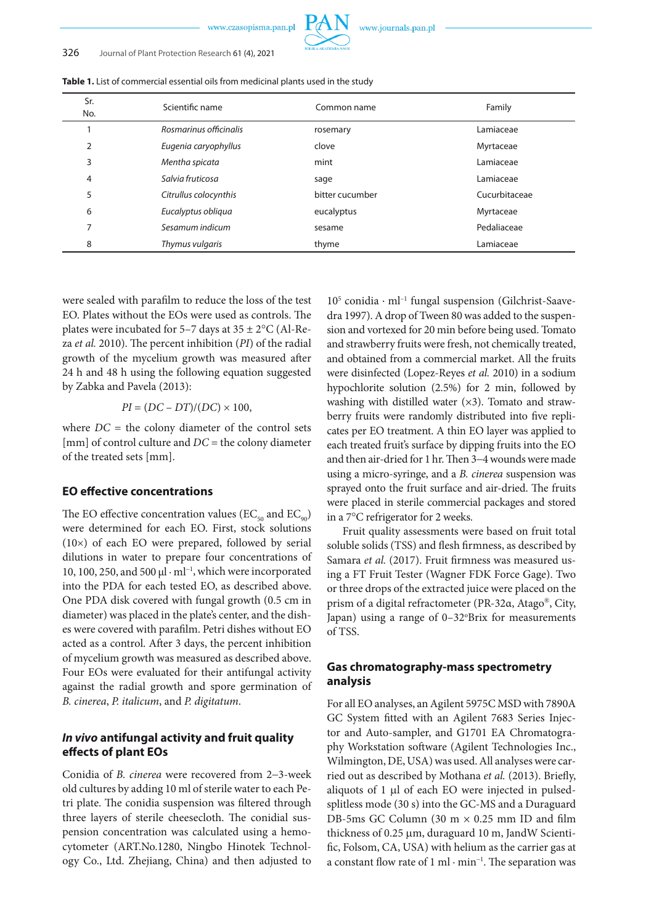

| Sr.<br>No. | Scientific name        | Common name     | Family        |
|------------|------------------------|-----------------|---------------|
|            | Rosmarinus officinalis | rosemary        | Lamiaceae     |
| 2          | Eugenia caryophyllus   | clove           | Myrtaceae     |
| 3          | Mentha spicata         | mint            | Lamiaceae     |
| 4          | Salvia fruticosa       | sage            | Lamiaceae     |
| 5          | Citrullus colocynthis  | bitter cucumber | Cucurbitaceae |
| 6          | Eucalyptus obliqua     | eucalyptus      | Myrtaceae     |
| ⇁          | Sesamum indicum        | sesame          | Pedaliaceae   |
| 8          | Thymus vulgaris        | thyme           | Lamiaceae     |

**Table 1.** List of commercial essential oils from medicinal plants used in the study

were sealed with parafilm to reduce the loss of the test EO. Plates without the EOs were used as controls. The plates were incubated for 5–7 days at  $35 \pm 2$ °C (Al-Reza *et al.* 2010). The percent inhibition (*PI*) of the radial growth of the mycelium growth was measured after 24 h and 48 h using the following equation suggested by Zabka and Pavela (2013):

$$
PI = (DC - DT)/(DC) \times 100,
$$

where  $DC =$  the colony diameter of the control sets [mm] of control culture and *DC* = the colony diameter of the treated sets [mm].

#### **EO effective concentrations**

The EO effective concentration values ( $EC_{50}$  and  $EC_{90}$ ) were determined for each EO. First, stock solutions (10×) of each EO were prepared, followed by serial dilutions in water to prepare four concentrations of 10, 100, 250, and 500 μl · ml<sup>-1</sup>, which were incorporated into the PDA for each tested EO, as described above. One PDA disk covered with fungal growth (0.5 cm in diameter) was placed in the plate's center, and the dishes were covered with parafilm. Petri dishes without EO acted as a control. After 3 days, the percent inhibition of mycelium growth was measured as described above. Four EOs were evaluated for their antifungal activity against the radial growth and spore germination of *B. cinerea*, *P. italicum*, and *P. digitatum*.

### *In vivo* **antifungal activity and fruit quality effects of plant EOs**

Conidia of *B. cinerea* were recovered from 2−3-week old cultures by adding 10 ml of sterile water to each Petri plate. The conidia suspension was filtered through three layers of sterile cheesecloth. The conidial suspension concentration was calculated using a hemocytometer (ART.No.1280, Ningbo Hinotek Technology Co., Ltd. Zhejiang, China) and then adjusted to 105 conidia ∙ ml–1 fungal suspension (Gilchrist-Saavedra 1997). A drop of Tween 80 was added to the suspension and vortexed for 20 min before being used. Tomato and strawberry fruits were fresh, not chemically treated, and obtained from a commercial market. All the fruits were disinfected (Lopez-Reyes *et al.* 2010) in a sodium hypochlorite solution (2.5%) for 2 min, followed by washing with distilled water  $(x3)$ . Tomato and strawberry fruits were randomly distributed into five replicates per EO treatment. A thin EO layer was applied to each treated fruit's surface by dipping fruits into the EO and then air-dried for 1 hr. Then 3−4 wounds were made using a micro-syringe, and a *B. cinerea* suspension was sprayed onto the fruit surface and air-dried. The fruits were placed in sterile commercial packages and stored in a 7°C refrigerator for 2 weeks.

Fruit quality assessments were based on fruit total soluble solids (TSS) and flesh firmness, as described by Samara *et al.* (2017). Fruit firmness was measured using a FT Fruit Tester (Wagner FDK Force Gage). Two or three drops of the extracted juice were placed on the prism of a digital refractometer (PR-32α, Atago®, City, Japan) using a range of 0-32°Brix for measurements of TSS.

#### **Gas chromatography-mass spectrometry analysis**

For all EO analyses, an Agilent 5975C MSD with 7890A GC System fitted with an Agilent 7683 Series Injector and Auto-sampler, and G1701 EA Chromatography Workstation software (Agilent Technologies Inc., Wilmington, DE, USA) was used. All analyses were carried out as described by Mothana *et al.* (2013). Briefly, aliquots of 1 µl of each EO were injected in pulsedsplitless mode (30 s) into the GC-MS and a Duraguard DB-5ms GC Column (30 m  $\times$  0.25 mm ID and film thickness of 0.25  $\mu$ m, duraguard 10 m, JandW Scientific, Folsom, CA, USA) with helium as the carrier gas at a constant flow rate of 1 ml · min<sup>−</sup><sup>1</sup> . The separation was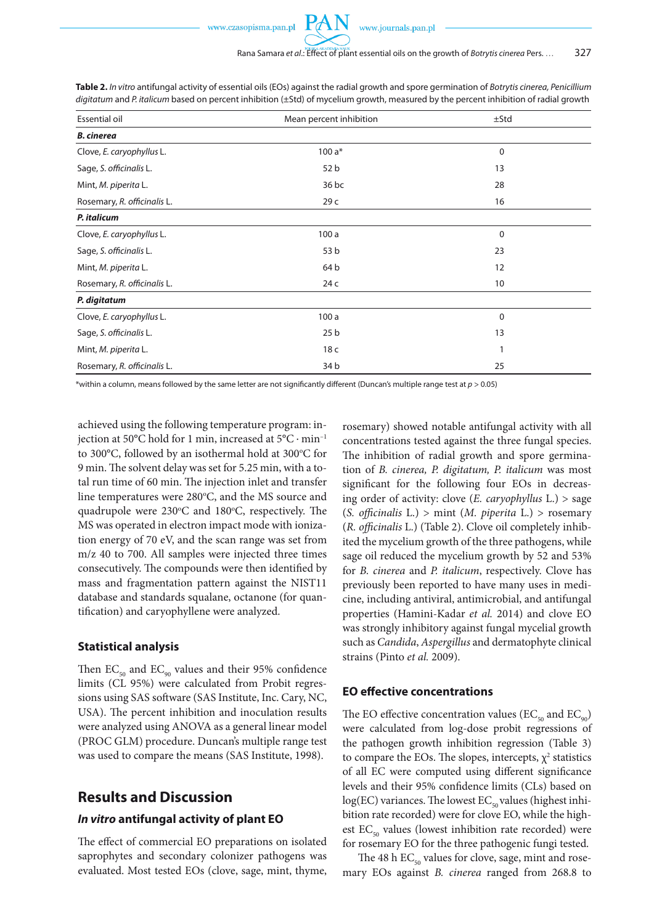| Essential oil               | Mean percent inhibition | ±Std        |
|-----------------------------|-------------------------|-------------|
| <b>B.</b> cinerea           |                         |             |
| Clove, E. caryophyllus L.   | $100a*$                 | $\mathbf 0$ |
| Sage, S. officinalis L.     | 52 b                    | 13          |
| Mint, M. piperita L.        | 36 bc                   | 28          |
| Rosemary, R. officinalis L. | 29 <sub>c</sub>         | 16          |
| P. italicum                 |                         |             |
| Clove, E. caryophyllus L.   | 100a                    | $\mathbf 0$ |
| Sage, S. officinalis L.     | 53 b                    | 23          |
| Mint, M. piperita L.        | 64 b                    | 12          |
| Rosemary, R. officinalis L. | 24 c                    | 10          |
| P. digitatum                |                         |             |
| Clove, E. caryophyllus L.   | 100a                    | $\mathbf 0$ |
| Sage, S. officinalis L.     | 25 <sub>b</sub>         | 13          |
| Mint, M. piperita L.        | 18 <sub>c</sub>         | 1           |
| Rosemary, R. officinalis L. | 34 b                    | 25          |

**Table 2.** *In vitro* antifungal activity of essential oils (EOs) against the radial growth and spore germination of *Botrytis cinerea, Penicillium digitatum* and *P. italicum* based on percent inhibition (±Std) of mycelium growth, measured by the percent inhibition of radial growth

\*within a column, means followed by the same letter are not significantly different (Duncan's multiple range test at *p* > 0.05)

achieved using the following temperature program: injection at 50°C hold for 1 min, increased at 5°C ∙ min–1 to 300°C, followed by an isothermal hold at 300°C for 9 min. The solvent delay was set for 5.25 min, with a total run time of 60 min. The injection inlet and transfer line temperatures were 280°C, and the MS source and quadrupole were 230°C and 180°C, respectively. The MS was operated in electron impact mode with ionization energy of 70 eV, and the scan range was set from m/z 40 to 700. All samples were injected three times consecutively. The compounds were then identified by mass and fragmentation pattern against the NIST11 database and standards squalane, octanone (for quantification) and caryophyllene were analyzed.

#### **Statistical analysis**

Then  $EC_{50}$  and  $EC_{90}$  values and their 95% confidence limits (CL 95%) were calculated from Probit regressions using SAS software (SAS Institute, Inc. Cary, NC, USA). The percent inhibition and inoculation results were analyzed using ANOVA as a general linear model (PROC GLM) procedure. Duncan's multiple range test was used to compare the means (SAS Institute, 1998).

### **Results and Discussion**

#### *In vitro* **antifungal activity of plant EO**

The effect of commercial EO preparations on isolated saprophytes and secondary colonizer pathogens was evaluated. Most tested EOs (clove, sage, mint, thyme, rosemary) showed notable antifungal activity with all concentrations tested against the three fungal species. The inhibition of radial growth and spore germination of *B. cinerea, P. digitatum, P. italicum* was most significant for the following four EOs in decreasing order of activity: clove (*E. caryophyllus* L.) > sage (*S. officinalis* L.) > mint (*M. piperita* L.) > rosemary (*R. officinalis* L.) (Table 2). Clove oil completely inhibited the mycelium growth of the three pathogens, while sage oil reduced the mycelium growth by 52 and 53% for *B. cinerea* and *P. italicum*, respectively. Clove has previously been reported to have many uses in medicine, including antiviral, antimicrobial, and antifungal properties (Hamini-Kadar *et al.* 2014) and clove EO was strongly inhibitory against fungal mycelial growth such as *Candida*, *Aspergillus* and dermatophyte clinical strains (Pinto *et al.* 2009).

#### **EO effective concentrations**

The EO effective concentration values  $(EC_{50}$  and  $EC_{90})$ were calculated from log-dose probit regressions of the pathogen growth inhibition regression (Table 3) to compare the EOs. The slopes, intercepts,  $\chi^2$  statistics of all EC were computed using different significance levels and their 95% confidence limits (CLs) based on  $log(EC)$  variances. The lowest  $EC_{50}$  values (highest inhibition rate recorded) were for clove EO, while the highest  $EC_{50}$  values (lowest inhibition rate recorded) were for rosemary EO for the three pathogenic fungi tested.

The 48 h  $EC_{50}$  values for clove, sage, mint and rosemary EOs against *B. cinerea* ranged from 268.8 to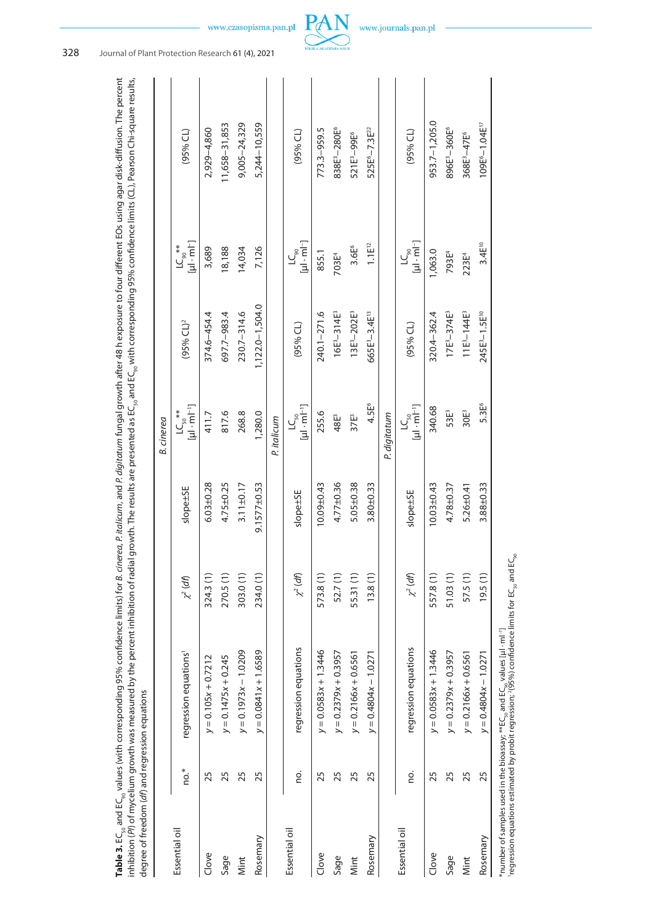|               |      |                                                                                                                                                                                                                                               |               |                   | <b>B.</b> cinerea                                                                                                              |                                       |                                                                                                                                                                                                                                                                                                                                                                                  |                                       |  |
|---------------|------|-----------------------------------------------------------------------------------------------------------------------------------------------------------------------------------------------------------------------------------------------|---------------|-------------------|--------------------------------------------------------------------------------------------------------------------------------|---------------------------------------|----------------------------------------------------------------------------------------------------------------------------------------------------------------------------------------------------------------------------------------------------------------------------------------------------------------------------------------------------------------------------------|---------------------------------------|--|
| Essential oil | no.* | regression equations <sup>1</sup>                                                                                                                                                                                                             | $\chi^2$ (df) | slope±SE          | $\mathsf{LC}_{50}^{***}$ [µl $\cdot$ m -1]                                                                                     | $(95%$ CL) <sup>2</sup>               | $\mathsf{LC}_{90}^{***}$ [µl $\cdot$ ml $^{-1}$ ]                                                                                                                                                                                                                                                                                                                                | (95% CL)                              |  |
| Clove         | 25   | $y = 0.105x + 0.7212$                                                                                                                                                                                                                         | 324.3(1)      | $6.03 \pm 0.28$   | 411.7                                                                                                                          | 374.6-454.4                           | 3,689                                                                                                                                                                                                                                                                                                                                                                            | 2,929-4,860                           |  |
| Sage          | 25   | $y = 0.1475x + 0.245$                                                                                                                                                                                                                         | 270.5(1)      | $4.75 + 0.25$     | 817.6                                                                                                                          | 697.7-983.4                           | 18,188                                                                                                                                                                                                                                                                                                                                                                           | 11,658-31,853                         |  |
| Mint          | 25   | $y = 0.1973x - 1.0209$                                                                                                                                                                                                                        | 303.0(1)      | $3.11 \pm 0.17$   | 268.8                                                                                                                          | $230.7 - 314.6$                       | 14,034                                                                                                                                                                                                                                                                                                                                                                           | $9,005 - 24,329$                      |  |
| Rosemary      | 25   | $y = 0.0841x + 1.6589$                                                                                                                                                                                                                        | 234.0(1)      | $9.1577 \pm 0.53$ | 1,280.0                                                                                                                        | 1,122.0-1,504.0                       | 7,126                                                                                                                                                                                                                                                                                                                                                                            | 5,244-10,559                          |  |
|               |      |                                                                                                                                                                                                                                               |               |                   | P. italicum                                                                                                                    |                                       |                                                                                                                                                                                                                                                                                                                                                                                  |                                       |  |
| Essential oil | ρ.   | regression equations                                                                                                                                                                                                                          | $\chi^2$ (df) | slope±SE          | ן ווי - מון<br>נוי - מון - וו                                                                                                  | $(95%$ CL)                            | ן<br>נווח - ווחן<br>נווח - ווחן                                                                                                                                                                                                                                                                                                                                                  | $(95%$ CL)                            |  |
| Clove         | 25   | $y = 0.0583x + 1.3446$                                                                                                                                                                                                                        | 573.8(1)      | $10.09 + 0.43$    | 255.6                                                                                                                          | $240.1 - 271.6$                       | 855.1                                                                                                                                                                                                                                                                                                                                                                            | 773.3-959.5                           |  |
| Sage          | 25   | $y = 0.2379x + 0.3957$                                                                                                                                                                                                                        | 52.7(1)       | $4.77 \pm 0.36$   | 48E <sup>3</sup>                                                                                                               | $16E^3 - 314E^3$                      | 703E <sup>4</sup>                                                                                                                                                                                                                                                                                                                                                                | 838E <sup>3</sup> -280E <sup>6</sup>  |  |
| Mint          | 25   | $y = 0.2166x + 0.6561$                                                                                                                                                                                                                        | 55.31(1)      | $5.05 \pm 0.38$   | 37E <sup>3</sup>                                                                                                               | 13E <sup>3</sup> -202E <sup>3</sup>   | 3.6E <sup>6</sup>                                                                                                                                                                                                                                                                                                                                                                | 521E <sup>3</sup> -99E <sup>6</sup>   |  |
| Rosemary      | 25   | $y = 0.4804x - 1.0271$                                                                                                                                                                                                                        | 13.8(1)       | $3.80 + 0.33$     | 4.5E <sup>6</sup>                                                                                                              | 665E <sup>3</sup> -3.4E <sup>13</sup> | $1.1E2$                                                                                                                                                                                                                                                                                                                                                                          | 525E <sup>6</sup> -7.3E <sup>22</sup> |  |
|               |      |                                                                                                                                                                                                                                               |               |                   | P. digitatum                                                                                                                   |                                       |                                                                                                                                                                                                                                                                                                                                                                                  |                                       |  |
| Essential oil | ρ.   | regression equations                                                                                                                                                                                                                          | $\chi^2$ (df) | slope±SE          | $\begin{array}{c} \mathsf{LC}_{\mathsf{50}} \\ \mathsf{L1} \mathsf{I} \cdot \mathsf{m} \mathsf{I}^{-1} \mathsf{I} \end{array}$ | $(95%$ CL)                            | $\begin{array}{c} \rule{0pt}{2.5ex} \rule{0pt}{2.5ex} \rule{0pt}{2.5ex} \rule{0pt}{2.5ex} \rule{0pt}{2.5ex} \rule{0pt}{2.5ex} \rule{0pt}{2.5ex} \rule{0pt}{2.5ex} \rule{0pt}{2.5ex} \rule{0pt}{2.5ex} \rule{0pt}{2.5ex} \rule{0pt}{2.5ex} \rule{0pt}{2.5ex} \rule{0pt}{2.5ex} \rule{0pt}{2.5ex} \rule{0pt}{2.5ex} \rule{0pt}{2.5ex} \rule{0pt}{2.5ex} \rule{0pt}{2.5ex} \rule{0$ | (95% CL)                              |  |
| Clove         | 25   | $y = 0.0583x + 1.3446$                                                                                                                                                                                                                        | 557.8(1)      | $10.03 + 0.43$    | 340.68                                                                                                                         | 320.4-362.4                           | 1,063.0                                                                                                                                                                                                                                                                                                                                                                          | $953.7 - 1,205.0$                     |  |
| Sage          | 25   | $y = 0.2379x + 0.3957$                                                                                                                                                                                                                        | 51.03(1)      | $4.78 + 0.37$     | 53E <sup>3</sup>                                                                                                               | $17E^3 - 374E^3$                      | 793E <sup>4</sup>                                                                                                                                                                                                                                                                                                                                                                | 896E <sup>3</sup> -360E <sup>6</sup>  |  |
| Mint          | 25   | $y = 0.2166x + 0.6561$                                                                                                                                                                                                                        | 57.5(1)       | $5.26 \pm 0.41$   | 30E <sup>3</sup>                                                                                                               | $11E^3 - 144E^3$                      | 223E <sup>4</sup>                                                                                                                                                                                                                                                                                                                                                                | 368E <sup>3</sup> -47E <sup>6</sup>   |  |
| Rosemary      | 25   | $y = 0.4804x - 1.0271$                                                                                                                                                                                                                        | 19.5(1)       | $3.88 + 0.33$     | 5.3E <sup>6</sup>                                                                                                              | 245E <sup>3</sup> -1.5E <sup>10</sup> | $3.4E^{10}$                                                                                                                                                                                                                                                                                                                                                                      | $109E6-1.04E17$                       |  |
|               |      | $^*$ number of samples used in the bioassay; $^{**}$ EC $_{\rm so}$ and EC $_{\rm so}$ values [µl · ml <sup>-1</sup> ]<br>'regression equations estimated by probit regression;?(95%) confidence limits for EC $_{\rm so}$ and EC $_{\rm so}$ |               |                   |                                                                                                                                |                                       |                                                                                                                                                                                                                                                                                                                                                                                  |                                       |  |



PAN

www.czasopisma.pan.pl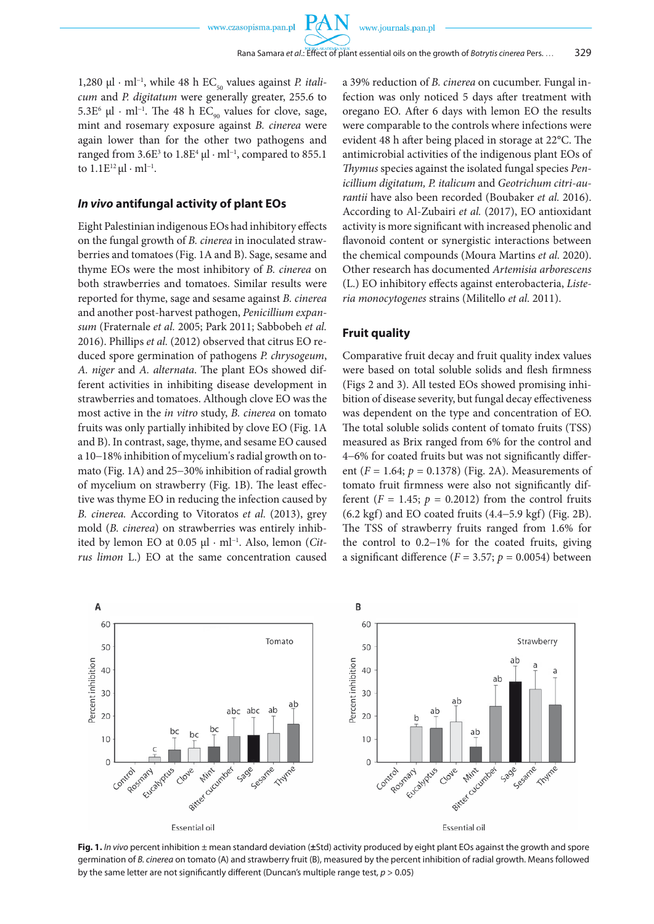$P\mathcal{A}$ 

1,280 μl · ml<sup>-1</sup>, while 48 h EC<sub>50</sub> values against *P. italicum* and *P. digitatum* were generally greater, 255.6 to 5.3E<sup>6</sup> μl · ml<sup>-1</sup>. The 48 h EC<sub>90</sub> values for clove, sage, mint and rosemary exposure against *B. cinerea* were again lower than for the other two pathogens and ranged from  $3.6E^3$  to  $1.8E^4 \mu l \cdot ml^{-1}$ , compared to 855.1 to  $1.1E^{12}$ μl · ml<sup>-1</sup>.

#### *In vivo* **antifungal activity of plant EOs**

Eight Palestinian indigenous EOs had inhibitory effects on the fungal growth of *B. cinerea* in inoculated strawberries and tomatoes (Fig. 1A and B). Sage, sesame and thyme EOs were the most inhibitory of *B. cinerea* on both strawberries and tomatoes. Similar results were reported for thyme, sage and sesame against *B. cinerea* and another post-harvest pathogen, *Penicillium expansum* (Fraternale *et al.* 2005; Park 2011; Sabbobeh *et al.* 2016). Phillips *et al.* (2012) observed that citrus EO reduced spore germination of pathogens *P. chrysogeum*, *A. niger* and *A. alternata*. The plant EOs showed different activities in inhibiting disease development in strawberries and tomatoes. Although clove EO was the most active in the *in vitro* study, *B. cinerea* on tomato fruits was only partially inhibited by clove EO (Fig. 1A and B). In contrast, sage, thyme, and sesame EO caused a 10−18% inhibition of mycelium's radial growth on tomato (Fig. 1A) and 25−30% inhibition of radial growth of mycelium on strawberry (Fig. 1B). The least effective was thyme EO in reducing the infection caused by *Β. cinerea.* According to Vitoratos *et al.* (2013), grey mold (*Β. cinerea*) on strawberries was entirely inhibited by lemon EO at 0.05 μl · ml<sup>−</sup><sup>1</sup> . Also, lemon (*Citrus limon* L.) EO at the same concentration caused a 39% reduction of *B. cinerea* on cucumber. Fungal infection was only noticed 5 days after treatment with oregano EO. After 6 days with lemon EO the results were comparable to the controls where infections were evident 48 h after being placed in storage at 22°C. The antimicrobial activities of the indigenous plant EOs of *Thymus* species against the isolated fungal species *Penicillium digitatum, P. italicum* and *Geotrichum citri-aurantii* have also been recorded (Boubaker *et al.* 2016). According to Al-Zubairi *et al.* (2017), EO antioxidant activity is more significant with increased phenolic and flavonoid content or synergistic interactions between the chemical compounds (Moura Martins *et al.* 2020). Other research has documented *Artemisia arborescens* (L.) EO inhibitory effects against enterobacteria, *Listeria monocytogenes* strains (Militello *et al.* 2011).

#### **Fruit quality**

Comparative fruit decay and fruit quality index values were based on total soluble solids and flesh firmness (Figs 2 and 3). All tested EOs showed promising inhibition of disease severity, but fungal decay effectiveness was dependent on the type and concentration of EO. The total soluble solids content of tomato fruits (TSS) measured as Brix ranged from 6% for the control and 4−6% for coated fruits but was not significantly different (*F* = 1.64; *p* = 0.1378) (Fig. 2A). Measurements of tomato fruit firmness were also not significantly different  $(F = 1.45; p = 0.2012)$  from the control fruits (6.2 kgf) and EO coated fruits (4.4−5.9 kgf) (Fig. 2B). The TSS of strawberry fruits ranged from 1.6% for the control to 0.2−1% for the coated fruits, giving a significant difference ( $F = 3.57$ ;  $p = 0.0054$ ) between



**Fig. 1.** *In vivo* percent inhibition ± mean standard deviation (**±**Std) activity produced by eight plant EOs against the growth and spore germination of *B. cinerea* on tomato (A) and strawberry fruit (B), measured by the percent inhibition of radial growth. Means followed by the same letter are not significantly different (Duncan's multiple range test, *p* > 0.05)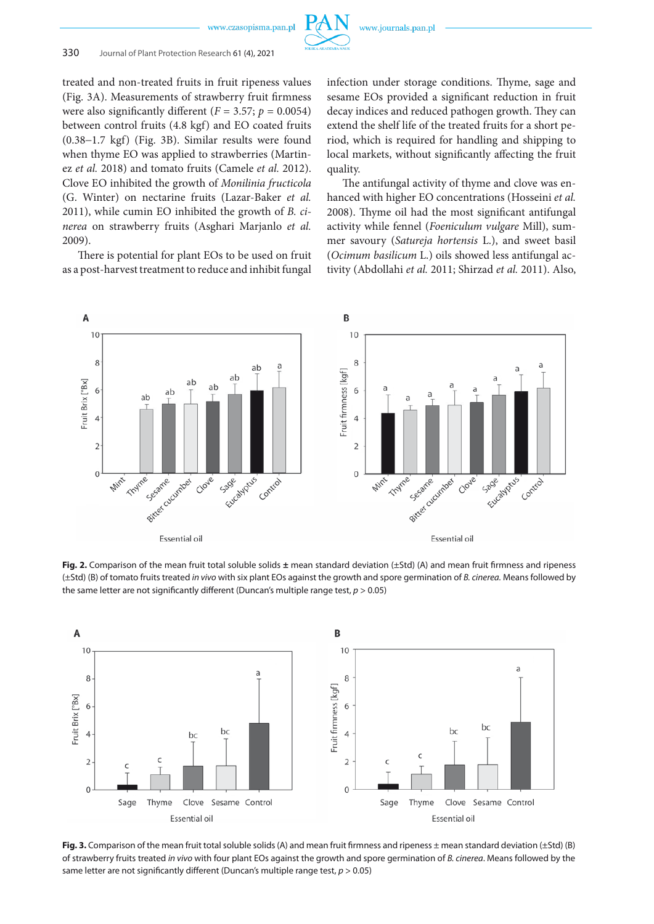

treated and non-treated fruits in fruit ripeness values (Fig. 3A). Measurements of strawberry fruit firmness were also significantly different ( $F = 3.57$ ;  $p = 0.0054$ ) between control fruits (4.8 kgf) and EO coated fruits (0.38−1.7 kgf) (Fig. 3B). Similar results were found when thyme EO was applied to strawberries (Martinez *et al.* 2018) and tomato fruits (Camele *et al.* 2012). Clove EO inhibited the growth of *Monilinia fructicola* (G. Winter) on nectarine fruits (Lazar-Baker *et al.* 2011), while cumin EO inhibited the growth of *B. cinerea* on strawberry fruits (Asghari Marjanlo *et al.* 2009).

There is potential for plant EOs to be used on fruit as a post-harvest treatment to reduce and inhibit fungal

infection under storage conditions. Thyme, sage and sesame EOs provided a significant reduction in fruit decay indices and reduced pathogen growth. They can extend the shelf life of the treated fruits for a short period, which is required for handling and shipping to local markets, without significantly affecting the fruit quality.

The antifungal activity of thyme and clove was enhanced with higher EO concentrations (Hosseini *et al.* 2008). Thyme oil had the most significant antifungal activity while fennel (*Foeniculum vulgare* Mill), summer savoury (*Satureja hortensis* L.), and sweet basil (*Ocimum basilicum* L.) oils showed less antifungal activity (Abdollahi *et al.* 2011; Shirzad *et al.* 2011). Also,



**Fig. 2.** Comparison of the mean fruit total soluble solids **±** mean standard deviation (±Std) (A) and mean fruit firmness and ripeness (±Std) (B) of tomato fruits treated *in vivo* with six plant EOs against the growth and spore germination of *B. cinerea.* Means followed by the same letter are not significantly different (Duncan's multiple range test, *p* > 0.05)



**Fig. 3.** Comparison of the mean fruit total soluble solids (A) and mean fruit firmness and ripeness ± mean standard deviation (±Std) (B) of strawberry fruits treated *in vivo* with four plant EOs against the growth and spore germination of *B. cinerea*. Means followed by the same letter are not significantly different (Duncan's multiple range test, *p* > 0.05)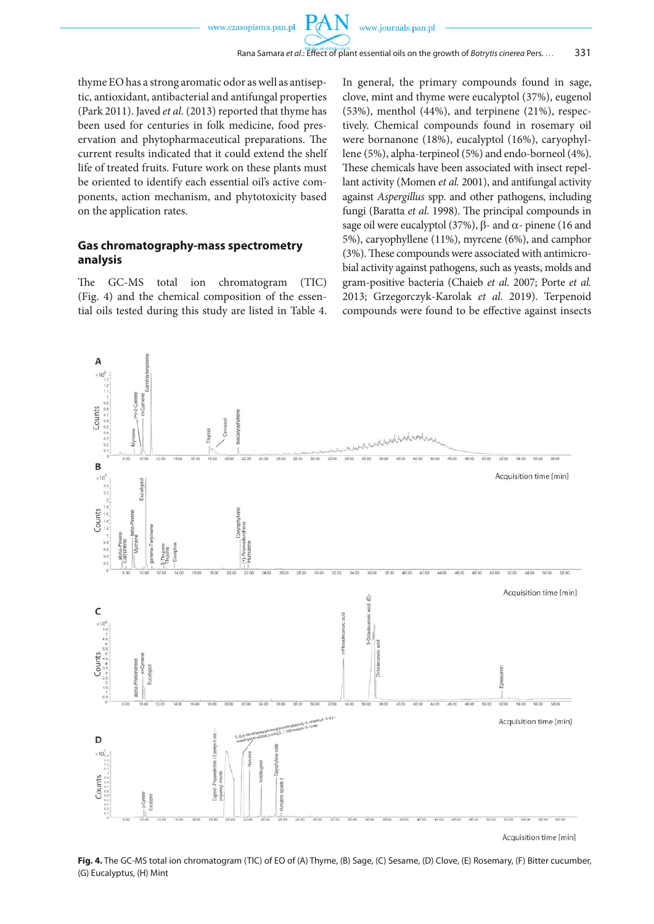thyme EO has a strong aromatic odor as well as antiseptic, antioxidant, antibacterial and antifungal properties (Park 2011). Javed *et al.* (2013) reported that thyme has been used for centuries in folk medicine, food preservation and phytopharmaceutical preparations. The current results indicated that it could extend the shelf life of treated fruits. Future work on these plants must be oriented to identify each essential oil's active components, action mechanism, and phytotoxicity based on the application rates.

### **Gas chromatography-mass spectrometry analysis**

The GC-MS total ion chromatogram (TIC) (Fig. 4) and the chemical composition of the essential oils tested during this study are listed in Table 4. In general, the primary compounds found in sage, clove, mint and thyme were eucalyptol (37%), eugenol (53%), menthol (44%), and terpinene (21%), respectively. Chemical compounds found in rosemary oil were bornanone (18%), eucalyptol (16%), caryophyllene (5%), alpha-terpineol (5%) and endo-borneol (4%). These chemicals have been associated with insect repellant activity (Momen *et al.* 2001), and antifungal activity against *Aspergillus* spp. and other pathogens, including fungi (Baratta *et al.* 1998). The principal compounds in sage oil were eucalyptol (37%), β- and  $\alpha$ - pinene (16 and 5%), caryophyllene (11%), myrcene (6%), and camphor (3%). These compounds were associated with antimicrobial activity against pathogens, such as yeasts, molds and gram-positive bacteria (Chaieb *et al.* 2007; Porte *et al.* 2013; Grzegorczyk-Karolak *et al.* 2019). Terpenoid compounds were found to be effective against insects



**Fig. 4.** The GC-MS total ion chromatogram (TIC) of EO of (A) Thyme, (B) Sage, (C) Sesame, (D) Clove, (E) Rosemary, (F) Bitter cucumber, (G) Eucalyptus, (H) Mint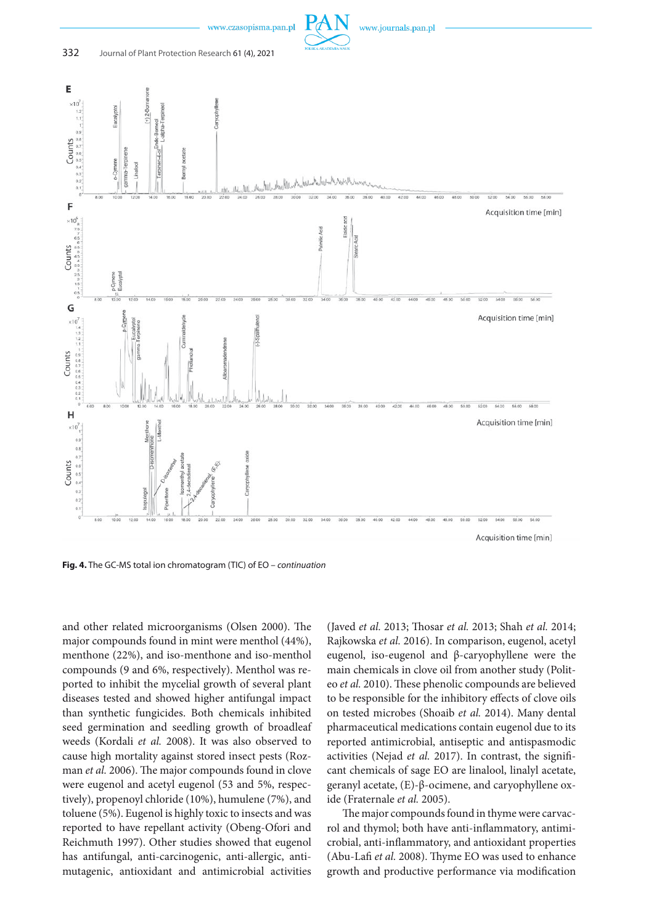

**Fig. 4.** The GC-MS total ion chromatogram (TIC) of EO – *continuation*

and other related microorganisms (Olsen 2000). The major compounds found in mint were menthol (44%), menthone (22%), and iso-menthone and iso-menthol compounds (9 and 6%, respectively). Menthol was reported to inhibit the mycelial growth of several plant diseases tested and showed higher antifungal impact than synthetic fungicides. Both chemicals inhibited seed germination and seedling growth of broadleaf weeds (Kordali *et al.* 2008). It was also observed to cause high mortality against stored insect pests (Rozman *et al.* 2006). The major compounds found in clove were eugenol and acetyl eugenol (53 and 5%, respectively), propenoyl chloride (10%), humulene (7%), and toluene (5%). Eugenol is highly toxic to insects and was reported to have repellant activity (Obeng-Ofori and Reichmuth 1997). Other studies showed that eugenol has antifungal, anti-carcinogenic, anti-allergic, antimutagenic, antioxidant and antimicrobial activities

(Javed *et al.* 2013; Thosar *et al.* 2013; Shah *et al.* 2014; Rajkowska *et al.* 2016). In comparison, eugenol, acetyl eugenol, iso-eugenol and β-caryophyllene were the main chemicals in clove oil from another study (Politeo *et al.* 2010). These phenolic compounds are believed to be responsible for the inhibitory effects of clove oils on tested microbes (Shoaib *et al.* 2014). Many dental pharmaceutical medications contain eugenol due to its reported antimicrobial, antiseptic and antispasmodic activities (Nejad *et al.* 2017). In contrast, the significant chemicals of sage EO are linalool, linalyl acetate, geranyl acetate, (E)-β-ocimene, and caryophyllene oxide (Fraternale *et al.* 2005).

The major compounds found in thyme were carvacrol and thymol; both have anti-inflammatory, antimicrobial, anti-inflammatory, and antioxidant properties (Abu-Lafi *et al.* 2008). Thyme EO was used to enhance growth and productive performance via modification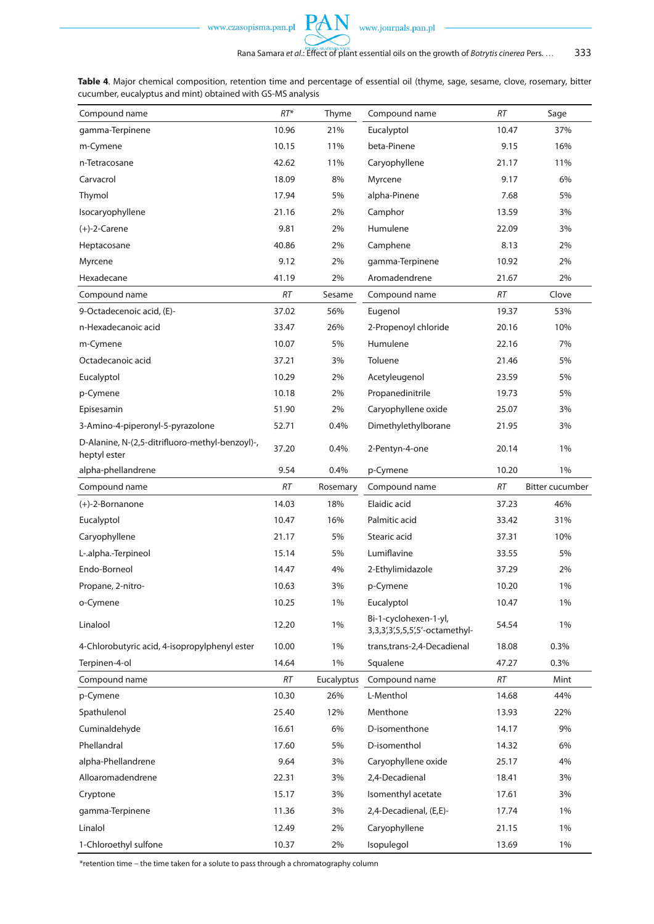

**Table 4**. Major chemical composition, retention time and percentage of essential oil (thyme, sage, sesame, clove, rosemary, bitter cucumber, eucalyptus and mint) obtained with GS-MS analysis

PAN

| Compound name                                                   | $RT^*$ | Thyme      | Compound name                                            | RT             | Sage            |
|-----------------------------------------------------------------|--------|------------|----------------------------------------------------------|----------------|-----------------|
| gamma-Terpinene                                                 | 10.96  | 21%        | Eucalyptol                                               | 10.47          | 37%             |
| m-Cymene                                                        | 10.15  | 11%        | beta-Pinene                                              | 9.15           | 16%             |
| n-Tetracosane                                                   | 42.62  | 11%        | Caryophyllene                                            | 21.17          | 11%             |
| Carvacrol                                                       | 18.09  | 8%         | Myrcene                                                  | 9.17           | 6%              |
| Thymol                                                          | 17.94  | 5%         | alpha-Pinene                                             | 7.68           | 5%              |
| Isocaryophyllene                                                | 21.16  | 2%         | Camphor                                                  | 13.59          | 3%              |
| $(+)$ -2-Carene                                                 | 9.81   | 2%         | Humulene                                                 | 22.09          | 3%              |
| Heptacosane                                                     | 40.86  | 2%         | Camphene                                                 | 8.13           | 2%              |
| Myrcene                                                         | 9.12   | 2%         | gamma-Terpinene                                          | 10.92          | 2%              |
| Hexadecane                                                      | 41.19  | 2%         | Aromadendrene                                            | 21.67          | 2%              |
| Compound name                                                   | RT     | Sesame     | Compound name                                            | RT             | Clove           |
| 9-Octadecenoic acid, (E)-                                       | 37.02  | 56%        | Eugenol                                                  | 19.37          | 53%             |
| n-Hexadecanoic acid                                             | 33.47  | 26%        | 2-Propenoyl chloride                                     | 20.16          | 10%             |
| m-Cymene                                                        | 10.07  | 5%         | Humulene                                                 | 22.16          | 7%              |
| Octadecanoic acid                                               | 37.21  | 3%         | Toluene                                                  | 21.46          | 5%              |
| Eucalyptol                                                      | 10.29  | 2%         | Acetyleugenol                                            | 23.59          | 5%              |
| p-Cymene                                                        | 10.18  | 2%         | Propanedinitrile                                         | 19.73          | 5%              |
| Episesamin                                                      | 51.90  | 2%         | Caryophyllene oxide                                      | 25.07          | 3%              |
| 3-Amino-4-piperonyl-5-pyrazolone                                | 52.71  | 0.4%       | Dimethylethylborane                                      | 21.95          | 3%              |
| D-Alanine, N-(2,5-ditrifluoro-methyl-benzoyl)-,<br>heptyl ester | 37.20  | 0.4%       | 2-Pentyn-4-one                                           | 20.14          | 1%              |
| alpha-phellandrene                                              | 9.54   | 0.4%       | p-Cymene                                                 | 10.20          | $1\%$           |
|                                                                 |        |            |                                                          |                |                 |
| Compound name                                                   | RT     | Rosemary   | Compound name                                            | RT             | Bitter cucumber |
| $(+)$ -2-Bornanone                                              | 14.03  | 18%        | Elaidic acid                                             | 37.23          | 46%             |
| Eucalyptol                                                      | 10.47  | 16%        | Palmitic acid                                            | 33.42          | 31%             |
| Caryophyllene                                                   | 21.17  | 5%         | Stearic acid                                             | 37.31          | 10%             |
| L-.alpha.-Terpineol                                             | 15.14  | 5%         | Lumiflavine                                              | 33.55          | 5%              |
| Endo-Borneol                                                    | 14.47  | 4%         | 2-Ethylimidazole                                         | 37.29          | 2%              |
| Propane, 2-nitro-                                               | 10.63  | 3%         | p-Cymene                                                 | 10.20          | 1%              |
| o-Cymene                                                        | 10.25  | $1\%$      | Eucalyptol                                               | 10.47          | 1%              |
| Linalool                                                        | 12.20  | 1%         | Bi-1-cyclohexen-1-yl,<br>3,3,3',3',5,5,5',5'-octamethyl- | 54.54          | 1%              |
| 4-Chlorobutyric acid, 4-isopropylphenyl ester                   | 10.00  | 1%         | trans, trans-2, 4-Decadienal                             | 18.08          | 0.3%            |
| Terpinen-4-ol                                                   | 14.64  | 1%         | Squalene                                                 | 47.27          | 0.3%            |
| Compound name                                                   | RT     | Eucalyptus | Compound name                                            | $R\mathcal{T}$ | Mint            |
| p-Cymene                                                        | 10.30  | 26%        | L-Menthol                                                | 14.68          | 44%             |
| Spathulenol                                                     | 25.40  | 12%        | Menthone                                                 | 13.93          | 22%             |
| Cuminaldehyde                                                   | 16.61  | 6%         | D-isomenthone                                            | 14.17          | 9%              |
| Phellandral                                                     | 17.60  | 5%         | D-isomenthol                                             | 14.32          | 6%              |
| alpha-Phellandrene                                              | 9.64   | 3%         | Caryophyllene oxide                                      | 25.17          | 4%              |
| Alloaromadendrene                                               | 22.31  | 3%         | 2,4-Decadienal                                           | 18.41          | 3%              |
| Cryptone                                                        | 15.17  | 3%         | Isomenthyl acetate                                       | 17.61          | 3%              |
| gamma-Terpinene                                                 | 11.36  | 3%         | 2,4-Decadienal, (E,E)-                                   | 17.74          | 1%              |
| Linalol                                                         | 12.49  | 2%         | Caryophyllene                                            | 21.15          | 1%              |

\*retention time − the time taken for a solute to pass through a chromatography column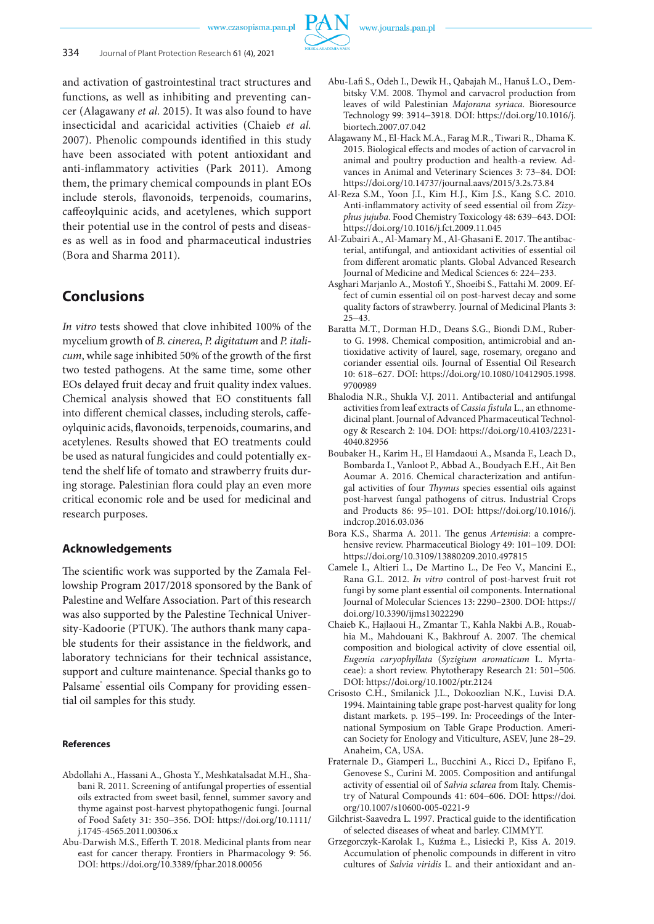

and activation of gastrointestinal tract structures and functions, as well as inhibiting and preventing cancer (Alagawany *et al.* 2015). It was also found to have insecticidal and acaricidal activities (Chaieb *et al.* 2007). Phenolic compounds identified in this study have been associated with potent antioxidant and anti-inflammatory activities (Park 2011). Among them, the primary chemical compounds in plant EOs include sterols, flavonoids, terpenoids, coumarins, caffeoylquinic acids, and acetylenes, which support their potential use in the control of pests and diseases as well as in food and pharmaceutical industries (Bora and Sharma 2011).

# **Conclusions**

*In vitro* tests showed that clove inhibited 100% of the mycelium growth of *B. cinerea*, *P. digitatum* and *P. italicum*, while sage inhibited 50% of the growth of the first two tested pathogens. At the same time, some other EOs delayed fruit decay and fruit quality index values. Chemical analysis showed that EO constituents fall into different chemical classes, including sterols, caffeoylquinic acids, flavonoids, terpenoids, coumarins, and acetylenes. Results showed that EO treatments could be used as natural fungicides and could potentially extend the shelf life of tomato and strawberry fruits during storage. Palestinian flora could play an even more critical economic role and be used for medicinal and research purposes.

#### **Acknowledgements**

The scientific work was supported by the Zamala Fellowship Program 2017/2018 sponsored by the Bank of Palestine and Welfare Association. Part of this research was also supported by the Palestine Technical University-Kadoorie (PTUK). The authors thank many capable students for their assistance in the fieldwork, and laboratory technicians for their technical assistance, support and culture maintenance. Special thanks go to Palsame<sup>®</sup> essential oils Company for providing essential oil samples for this study.

#### **References**

- Abdollahi A., Hassani A., Ghosta Y., Meshkatalsadat M.H., Shabani R. 2011. Screening of antifungal properties of essential oils extracted from sweet basil, fennel, summer savory and thyme against post-harvest phytopathogenic fungi. Journal of Food Safety 31: 350−356. DOI: https://doi.org/10.1111/ j.1745-4565.2011.00306.x
- Abu-Darwish M.S., Efferth T. 2018. Medicinal plants from near east for cancer therapy. Frontiers in Pharmacology 9: 56. DOI: https://doi.org/10.3389/fphar.2018.00056

Abu-Lafi S., Odeh I., Dewik H., Qabajah M., Hanuš L.O., Dembitsky V.M. 2008. Thymol and carvacrol production from leaves of wild Palestinian *Majorana syriaca*. Bioresource Technology 99: 3914−3918. DOI: https://doi.org/10.1016/j. biortech.2007.07.042

www.journals.pan.pl

- Alagawany M., El-Hack M.A., Farag M.R., Tiwari R., Dhama K. 2015. Biological effects and modes of action of carvacrol in animal and poultry production and health-a review. Advances in Animal and Veterinary Sciences 3: 73−84. DOI: https://doi.org/10.14737/journal.aavs/2015/3.2s.73.84
- Al-Reza S.M., Yoon J.I., Kim H.J., Kim J.S., Kang S.C. 2010. Anti-inflammatory activity of seed essential oil from *Zizyphus jujuba*. Food Chemistry Toxicology 48: 639−643. DOI: https://doi.org/10.1016/j.fct.2009.11.045
- Al-Zubairi A., Al-Mamary M., Al-Ghasani E. 2017. The antibacterial, antifungal, and antioxidant activities of essential oil from different aromatic plants. Global Advanced Research Journal of Medicine and Medical Sciences 6: 224−233.
- Asghari Marjanlo A., Mostofi Y., Shoeibi S., Fattahi M. 2009. Effect of cumin essential oil on post-harvest decay and some quality factors of strawberry. Journal of Medicinal Plants 3: 25−43.
- Baratta M.T., Dorman H.D., Deans S.G., Biondi D.M., Ruberto G. 1998. Chemical composition, antimicrobial and antioxidative activity of laurel, sage, rosemary, oregano and coriander essential oils. Journal of Essential Oil Research 10: 618−627. DOI: https://doi.org/10.1080/10412905.1998. 9700989
- Bhalodia N.R., Shukla V.J. 2011. Antibacterial and antifungal activities from leaf extracts of *Cassia fistula* L., an ethnomedicinal plant. Journal of Advanced Pharmaceutical Technology & Research 2: 104. DOI: https://doi.org/10.4103/2231- 4040.82956
- Boubaker H., Karim H., El Hamdaoui A., Msanda F., Leach D., Bombarda I., Vanloot P., Abbad A., Boudyach E.H., Ait Ben Aoumar A. 2016. Chemical characterization and antifungal activities of four *Thymus* species essential oils against post-harvest fungal pathogens of citrus. Industrial Crops and Products 86: 95−101. DOI: https://doi.org/10.1016/j. indcrop.2016.03.036
- Bora K.S., Sharma A. 2011. The genus *Artemisia*: a comprehensive review. Pharmaceutical Biology 49: 101−109. DOI: https://doi.org/10.3109/13880209.2010.497815
- Camele I., Altieri L., De Martino L., De Feo V., Mancini E., Rana G.L. 2012. *In vitro* control of post-harvest fruit rot fungi by some plant essential oil components. International Journal of Molecular Sciences 13: 2290–2300. DOI: https:// doi.org/10.3390/ijms13022290
- Chaieb K., Hajlaoui H., Zmantar T., Kahla Nakbi A.B., Rouabhia M., Mahdouani K., Bakhrouf A. 2007. The chemical composition and biological activity of clove essential oil, *Eugenia caryophyllata* (*Syzigium aromaticum* L. Myrtaceae): a short review. Phytotherapy Research 21: 501−506. DOI: https://doi.org/10.1002/ptr.2124
- Crisosto C.H., Smilanick J.L., Dokoozlian N.K., Luvisi D.A. 1994. Maintaining table grape post-harvest quality for long distant markets. p. 195−199. In*:* Proceedings of the International Symposium on Table Grape Production. American Society for Enology and Viticulture, ASEV, June 28–29. Anaheim, CA, USA.
- Fraternale D., Giamperi L., Bucchini A., Ricci D., Epifano F., Genovese S., Curini M. 2005. Composition and antifungal activity of essential oil of *Salvia sclarea* from Italy. Chemistry of Natural Compounds 41: 604−606. DOI: https://doi. org/10.1007/s10600-005-0221-9
- Gilchrist-Saavedra L. 1997. Practical guide to the identification of selected diseases of wheat and barley. CIMMYT.
- Grzegorczyk-Karolak I., Kuźma Ł., Lisiecki P., Kiss A. 2019. Accumulation of phenolic compounds in different in vitro cultures of *Salvia viridis* L. and their antioxidant and an-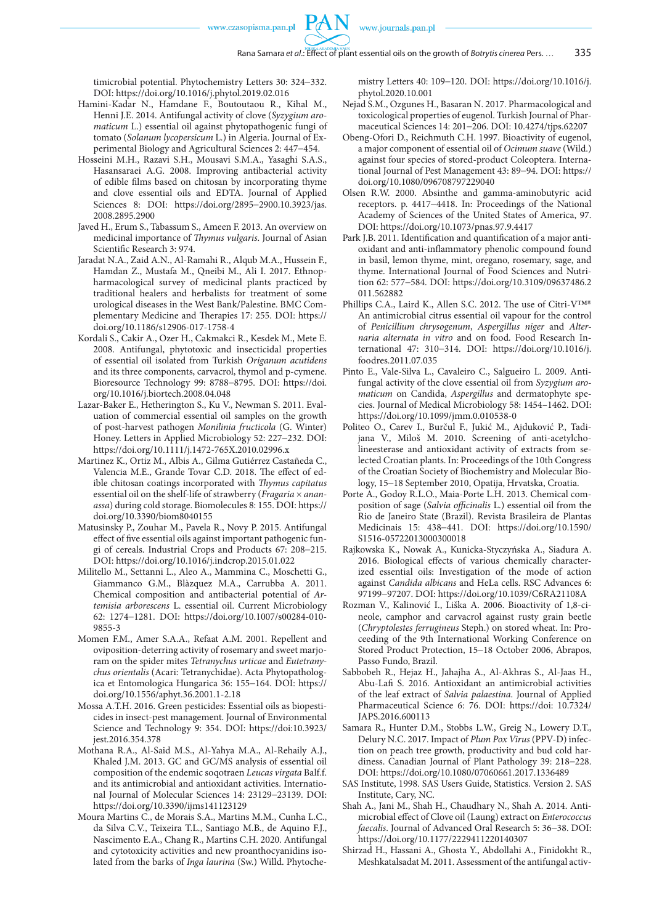timicrobial potential. Phytochemistry Letters 30: 324−332. DOI: https://doi.org/10.1016/j.phytol.2019.02.016

- Hamini-Kadar N., Hamdane F., Boutoutaou R., Kihal M., Henni J.E. 2014. Antifungal activity of clove (*Syzygium aromaticum* L.) essential oil against phytopathogenic fungi of tomato (*Solanum lycopersicum* L.) in Algeria. Journal of Experimental Biology and Agricultural Sciences 2: 447−454.
- Hosseini M.H., Razavi S.H., Mousavi S.M.A., Yasaghi S.A.S., Hasansaraei A.G. 2008. Improving antibacterial activity of edible films based on chitosan by incorporating thyme and clove essential oils and EDTA. Journal of Applied Sciences 8: DOI: https://doi.org/2895−2900.10.3923/jas. 2008.2895.2900
- Javed H., Erum S., Tabassum S., Ameen F. 2013. An overview on medicinal importance of *Thymus vulgaris*. Journal of Asian Scientific Research 3: 974.
- Jaradat N.A., Zaid A.N., Al-Ramahi R., Alqub M.A., Hussein F., Hamdan Z., Mustafa M., Qneibi M., Ali I. 2017. Ethnopharmacological survey of medicinal plants practiced by traditional healers and herbalists for treatment of some urological diseases in the West Bank/Palestine. BMC Complementary Medicine and Therapies 17: 255. DOI: https:// doi.org/10.1186/s12906-017-1758-4
- Kordali S., Cakir A., Ozer H., Cakmakci R., Kesdek M., Mete E. 2008. Antifungal, phytotoxic and insecticidal properties of essential oil isolated from Turkish *Origanum acutidens* and its three components, carvacrol, thymol and p-cymene. Bioresource Technology 99: 8788−8795. DOI: https://doi. org/10.1016/j.biortech.2008.04.048
- Lazar-Baker E., Hetherington S., Ku V., Newman S. 2011. Evaluation of commercial essential oil samples on the growth of post-harvest pathogen *Monilinia fructicola* (G. Winter) Honey. Letters in Applied Microbiology 52: 227−232. DOI: https://doi.org/10.1111/j.1472-765X.2010.02996.x
- Martinez K., Ortiz M., Albis A., Gilma Gutiérrez Castañeda C., Valencia M.E., Grande Tovar C.D. 2018. The effect of edible chitosan coatings incorporated with *Thymus capitatus* essential oil on the shelf-life of strawberry (*Fragaria* × *ananassa*) during cold storage. Biomolecules 8: 155. DOI: https:// doi.org/10.3390/biom8040155
- Matusinsky P., Zouhar M., Pavela R., Novy P. 2015. Antifungal effect of five essential oils against important pathogenic fungi of cereals. Industrial Crops and Products 67: 208−215. DOI: https://doi.org/10.1016/j.indcrop.2015.01.022
- Militello M., Settanni L., Aleo A., Mammina C., Moschetti G., Giammanco G.M., Blàzquez M.A., Carrubba A. 2011. Chemical composition and antibacterial potential of *Artemisia arborescens* L. essential oil. Current Microbiology 62: 1274−1281. DOI: https://doi.org/10.1007/s00284-010- 9855-3
- Momen F.M., Amer S.A.A., Refaat A.M. 2001. Repellent and oviposition-deterring activity of rosemary and sweet marjoram on the spider mites *Tetranychus urticae* and *Eutetranychus orientalis* (Acari: Tetranychidae). Acta Phytopathologica et Entomologica Hungarica 36: 155−164. DOI: https:// doi.org/10.1556/aphyt.36.2001.1-2.18
- Mossa A.T.H. 2016. Green pesticides: Essential oils as biopesticides in insect-pest management. Journal of Environmental Science and Technology 9: 354. DOI: https://doi:10.3923/ jest.2016.354.378
- Mothana R.A., Al-Said M.S., Al-Yahya M.A., Al-Rehaily A.J., Khaled J.M. 2013. GC and GC/MS analysis of essential oil composition of the endemic soqotraen *Leucas virgata* Balf.f. and its antimicrobial and antioxidant activities. International Journal of Molecular Sciences 14: 23129−23139. DOI: https://doi.org/10.3390/ijms141123129
- Moura Martins C., de Morais S.A., Martins M.M., Cunha L.C., da Silva C.V., Teixeira T.L., Santiago M.B., de Aquino F.J., Nascimento E.A., Chang R., Martins C.H. 2020. Antifungal and cytotoxicity activities and new proanthocyanidins isolated from the barks of *Inga laurina* (Sw.) Willd. Phytoche-

mistry Letters 40: 109−120. DOI: https://doi.org/10.1016/j. phytol.2020.10.001

- Nejad S.M., Ozgunes H., Basaran N. 2017. Pharmacological and toxicological properties of eugenol. Turkish Journal of Pharmaceutical Sciences 14: 201−206. DOI: 10.4274/tjps.62207
- Obeng-Ofori D., Reichmuth C.H. 1997. Bioactivity of eugenol, a major component of essential oil of *Ocimum suave* (Wild.) against four species of stored-product Coleoptera. International Journal of Pest Management 43: 89−94. DOI: https:// doi.org/10.1080/096708797229040
- Olsen R.W. 2000. Absinthe and gamma-aminobutyric acid receptors. p. 4417−4418. In: Proceedings of the National Academy of Sciences of the United States of America, 97. DOI: https://doi.org/10.1073/pnas.97.9.4417
- Park J.B. 2011. Identification and quantification of a major antioxidant and anti-inflammatory phenolic compound found in basil, lemon thyme, mint, oregano, rosemary, sage, and thyme. International Journal of Food Sciences and Nutrition 62: 577−584. DOI: https://doi.org/10.3109/09637486.2 011.562882
- Phillips C.A., Laird K., Allen S.C. 2012. The use of Citri-V™® An antimicrobial citrus essential oil vapour for the control of *Penicillium chrysogenum*, *Aspergillus niger* and *Alternaria alternata in vitro* and on food. Food Research International 47: 310−314. DOI: https://doi.org/10.1016/j. foodres.2011.07.035
- Pinto E., Vale-Silva L., Cavaleiro C., Salgueiro L. 2009. Antifungal activity of the clove essential oil from *Syzygium aromaticum* on Candida, *Aspergillus* and dermatophyte species. Journal of Medical Microbiology 58: 1454–1462. DOI: https://doi.org/10.1099/jmm.0.010538-0
- Politeo O., Carev I., Burčul F., Jukić M., Ajduković P., Tadijana V., Miloš M. 2010. Screening of anti-acetylcholineesterase and antioxidant activity of extracts from selected Croatian plants. In: Proceedings of the 10th Congress of the Croatian Society of Biochemistry and Molecular Biology, 15−18 September 2010, Opatija, Hrvatska, Croatia.
- Porte A., Godoy R.L.O., Maia-Porte L.H. 2013. Chemical composition of sage (*Salvia officinalis* L.) essential oil from the Rio de Janeiro State (Brazil). Revista Brasileira de Plantas Medicinais 15: 438−441. DOI: https://doi.org/10.1590/ S1516-05722013000300018
- Rajkowska K., Nowak A., Kunicka-Styczyńska A., Siadura A. 2016. Biological effects of various chemically characterized essential oils: Investigation of the mode of action against *Candida albicans* and HeLa cells. RSC Advances 6: 97199−97207. DOI: https://doi.org/10.1039/C6RA21108A
- Rozman V., Kalinović I., Liška A. 2006. Bioactivity of 1,8-cineole, camphor and carvacrol against rusty grain beetle (*Chryptolestes ferrugineus* Steph.) on stored wheat. In: Proceeding of the 9th International Working Conference on Stored Product Protection, 15−18 October 2006, Abrapos, Passo Fundo, Brazil.
- Sabbobeh R., Hejaz H., Jahajha A., Al-Akhras S., Al-Jaas H., Abu-Lafi S. 2016. Antioxidant an antimicrobial activities of the leaf extract of *Salvia palaestina*. Journal of Applied Pharmaceutical Science 6: 76. DOI: https://doi: 10.7324/ JAPS.2016.600113
- Samara R., Hunter D.M., Stobbs L.W., Greig N., Lowery D.T., Delury N.C. 2017. Impact of *Plum Pox Virus* (PPV-D) infection on peach tree growth, productivity and bud cold hardiness. Canadian Journal of Plant Pathology 39: 218−228. DOI: https://doi.org/10.1080/07060661.2017.1336489
- SAS Institute, 1998. SAS Users Guide, Statistics. Version 2. SAS Institute, Cary, NC.
- Shah A., Jani M., Shah H., Chaudhary N., Shah A. 2014. Antimicrobial effect of Clove oil (Laung) extract on *Enterococcus faecalis*. Journal of Advanced Oral Research 5: 36−38. DOI: https://doi.org/10.1177/2229411220140307
- Shirzad H., Hassani A., Ghosta Y., Abdollahi A., Finidokht R., Meshkatalsadat M. 2011. Assessment of the antifungal activ-